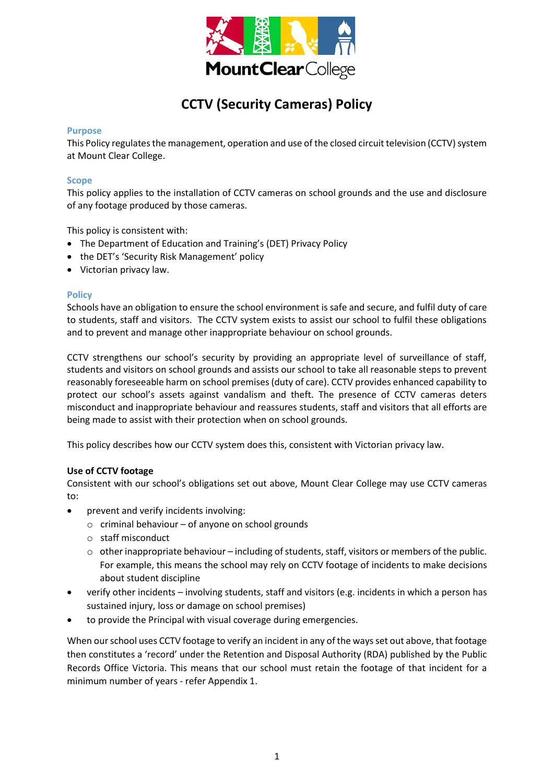

# **CCTV (Security Cameras) Policy**

#### **Purpose**

This Policy regulates the management, operation and use of the closed circuit television (CCTV) system at Mount Clear College.

#### **Scope**

This policy applies to the installation of CCTV cameras on school grounds and the use and disclosure of any footage produced by those cameras.

This policy is consistent with:

- The Department of Education and Training's (DET) Privacy Policy
- the DET's 'Security Risk Management' policy
- Victorian privacy law.

#### **Policy**

Schools have an obligation to ensure the school environment is safe and secure, and fulfil duty of care to students, staff and visitors. The CCTV system exists to assist our school to fulfil these obligations and to prevent and manage other inappropriate behaviour on school grounds.

CCTV strengthens our school's security by providing an appropriate level of surveillance of staff, students and visitors on school grounds and assists our school to take all reasonable steps to prevent reasonably foreseeable harm on school premises (duty of care). CCTV provides enhanced capability to protect our school's assets against vandalism and theft. The presence of CCTV cameras deters misconduct and inappropriate behaviour and reassures students, staff and visitors that all efforts are being made to assist with their protection when on school grounds.

This policy describes how our CCTV system does this, consistent with Victorian privacy law.

#### **Use of CCTV footage**

Consistent with our school's obligations set out above, Mount Clear College may use CCTV cameras to:

- prevent and verify incidents involving:
	- $\circ$  criminal behaviour of anyone on school grounds
	- o staff misconduct
	- $\circ$  other inappropriate behaviour including of students, staff, visitors or members of the public. For example, this means the school may rely on CCTV footage of incidents to make decisions about student discipline
- verify other incidents involving students, staff and visitors (e.g. incidents in which a person has sustained injury, loss or damage on school premises)
- to provide the Principal with visual coverage during emergencies.

When our school uses CCTV footage to verify an incident in any of the ways set out above, that footage then constitutes a 'record' under the Retention and Disposal Authority (RDA) published by the Public Records Office Victoria. This means that our school must retain the footage of that incident for a minimum number of years - refer Appendix 1.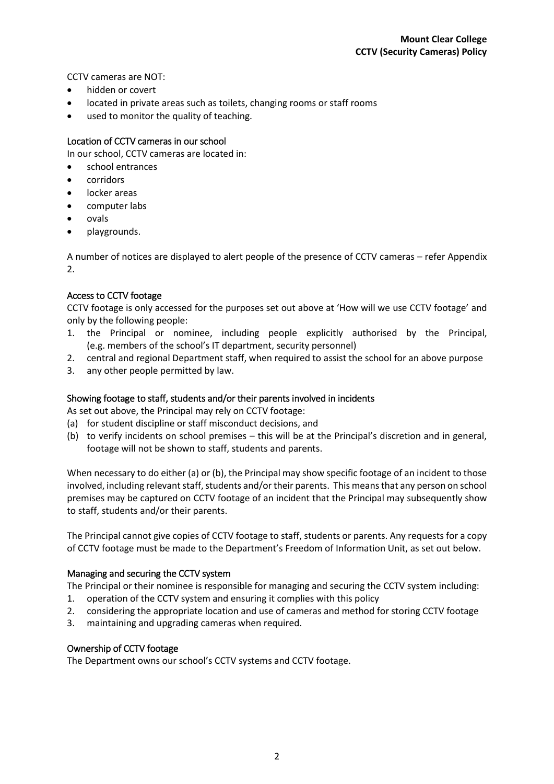CCTV cameras are NOT:

- hidden or covert
- located in private areas such as toilets, changing rooms or staff rooms
- used to monitor the quality of teaching.

# Location of CCTV cameras in our school

In our school, CCTV cameras are located in:

- school entrances
- corridors
- locker areas
- computer labs
- ovals
- playgrounds.

A number of notices are displayed to alert people of the presence of CCTV cameras – refer Appendix 2.

# Access to CCTV footage

CCTV footage is only accessed for the purposes set out above at 'How will we use CCTV footage' and only by the following people:

- 1. the Principal or nominee, including people explicitly authorised by the Principal, (e.g. members of the school's IT department, security personnel)
- 2. central and regional Department staff, when required to assist the school for an above purpose
- 3. any other people permitted by law.

# Showing footage to staff, students and/or their parents involved in incidents

As set out above, the Principal may rely on CCTV footage:

- (a) for student discipline or staff misconduct decisions, and
- (b) to verify incidents on school premises this will be at the Principal's discretion and in general, footage will not be shown to staff, students and parents.

When necessary to do either (a) or (b), the Principal may show specific footage of an incident to those involved, including relevant staff, students and/or their parents. This means that any person on school premises may be captured on CCTV footage of an incident that the Principal may subsequently show to staff, students and/or their parents.

The Principal cannot give copies of CCTV footage to staff, students or parents. Any requests for a copy of CCTV footage must be made to the Department's Freedom of Information Unit, as set out below.

# Managing and securing the CCTV system

The Principal or their nominee is responsible for managing and securing the CCTV system including:

- 1. operation of the CCTV system and ensuring it complies with this policy
- 2. considering the appropriate location and use of cameras and method for storing CCTV footage
- 3. maintaining and upgrading cameras when required.

# Ownership of CCTV footage

The Department owns our school's CCTV systems and CCTV footage.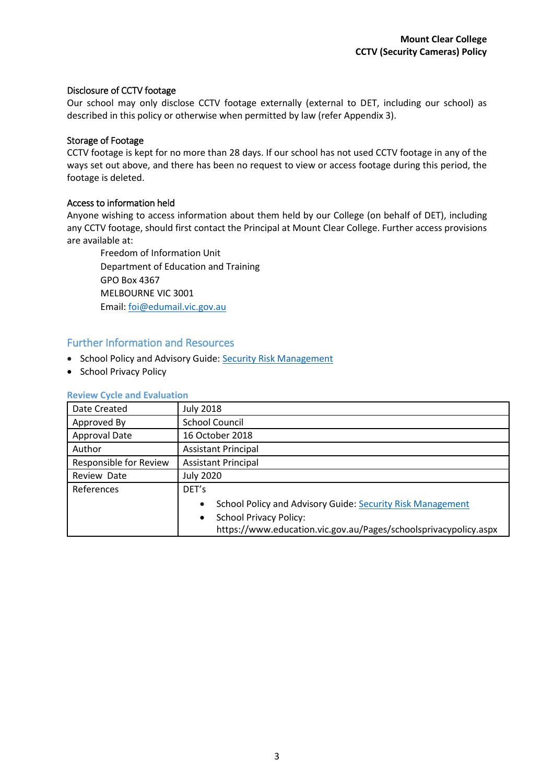### Disclosure of CCTV footage

Our school may only disclose CCTV footage externally (external to DET, including our school) as described in this policy or otherwise when permitted by law (refer Appendix 3).

## Storage of Footage

CCTV footage is kept for no more than 28 days. If our school has not used CCTV footage in any of the ways set out above, and there has been no request to view or access footage during this period, the footage is deleted.

## Access to information held

Anyone wishing to access information about them held by our College (on behalf of DET), including any CCTV footage, should first contact the Principal at Mount Clear College. Further access provisions are available at:

Freedom of Information Unit Department of Education and Training GPO Box 4367 MELBOURNE VIC 3001 Email: [foi@edumail.vic.gov.au](mailto:foi@edumail.vic.gov.au)

# Further Information and Resources

- School Policy and Advisory Guide: [Security Risk Management](http://www.education.vic.gov.au/school/principals/spag/management/Pages/security.aspx)
- School Privacy Policy

# **Review Cycle and Evaluation**

| Date Created           | <b>July 2018</b>                                                        |  |  |
|------------------------|-------------------------------------------------------------------------|--|--|
| Approved By            | <b>School Council</b>                                                   |  |  |
| <b>Approval Date</b>   | 16 October 2018                                                         |  |  |
| Author                 | <b>Assistant Principal</b>                                              |  |  |
| Responsible for Review | <b>Assistant Principal</b>                                              |  |  |
| Review Date            | <b>July 2020</b>                                                        |  |  |
| References             | DET's                                                                   |  |  |
|                        | School Policy and Advisory Guide: Security Risk Management<br>$\bullet$ |  |  |
|                        | <b>School Privacy Policy:</b><br>$\bullet$                              |  |  |
|                        | https://www.education.vic.gov.au/Pages/schoolsprivacypolicy.aspx        |  |  |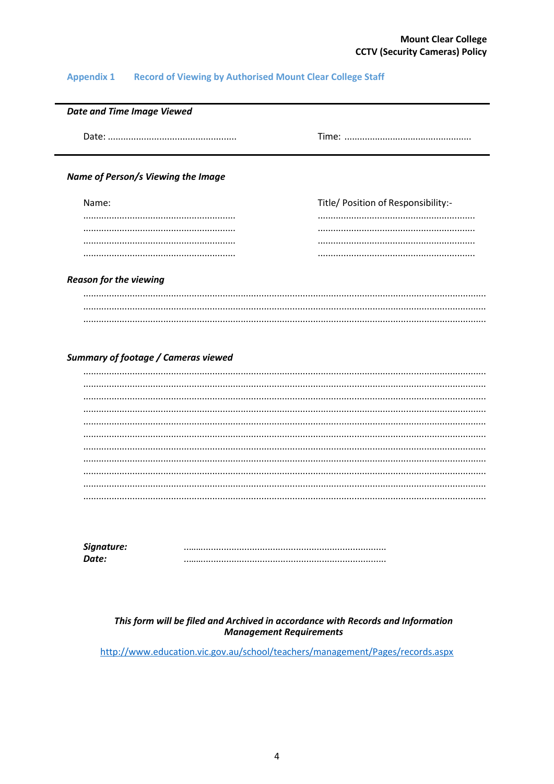# **Mount Clear College CCTV (Security Cameras) Policy**

#### **Record of Viewing by Authorised Mount Clear College Staff Appendix 1**

| <b>Date and Time Image Viewed</b>  |                                     |  |  |
|------------------------------------|-------------------------------------|--|--|
|                                    |                                     |  |  |
|                                    |                                     |  |  |
| Name of Person/s Viewing the Image |                                     |  |  |
| Name:                              | Title/ Position of Responsibility:- |  |  |
|                                    |                                     |  |  |
|                                    |                                     |  |  |

#### **Reason for the viewing**

#### **Summary of footage / Cameras viewed**

| Signature: |  |
|------------|--|
| Date:      |  |

#### This form will be filed and Archived in accordance with Records and Information **Management Requirements**

http://www.education.vic.gov.au/school/teachers/management/Pages/records.aspx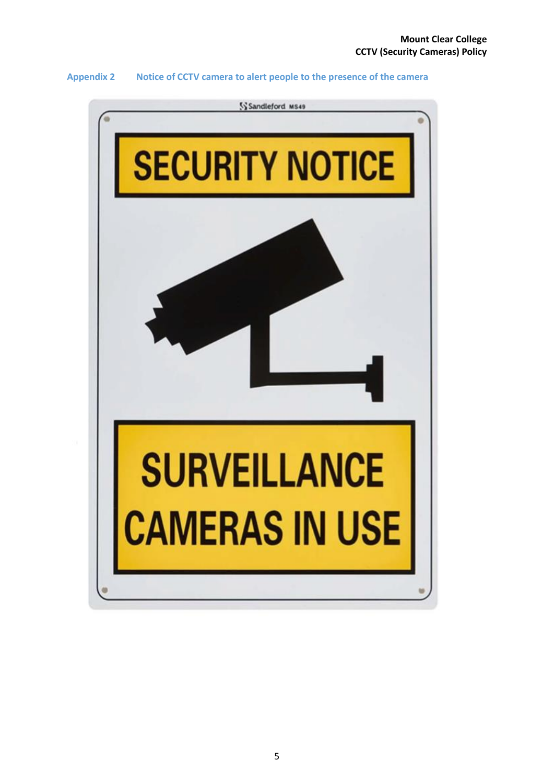#### **Appendix 2 Notice of CCTV camera to alert people to the presence of the camera**